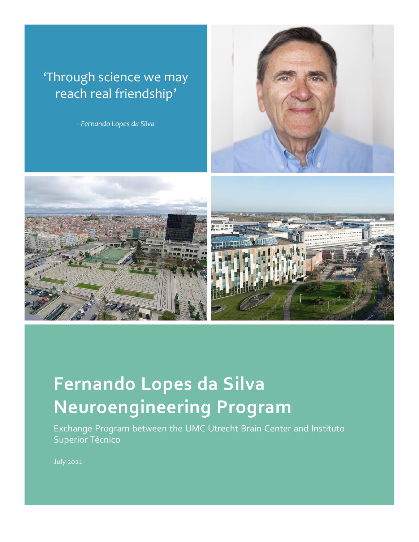### 'Through science we may reach real friendship'

*- Fernando Lopes da Silva*







# **Fernando Lopes da Silva Neuroengineering Program**

Exchange Program between the UMC Utrecht Brain Center and Instituto Superior Técnico

July 2021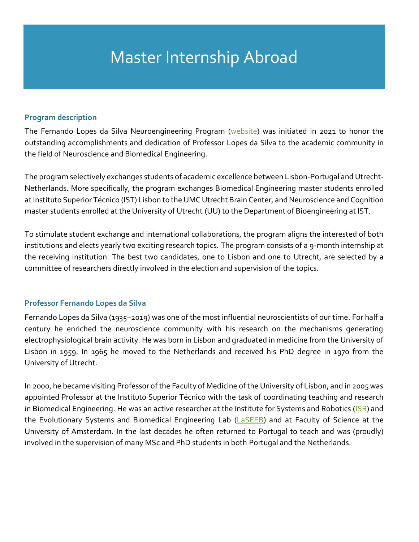### Master Internship Abroad

#### **Program description**

The Fernando Lopes da Silva Neuroengineering Program [\(website\)](https://lopesdasilva-program.eu/) was initiated in 2021 to honor the outstanding accomplishments and dedication of Professor Lopes da Silva to the academic community in the field of Neuroscience and Biomedical Engineering.

The program selectively exchanges students of academic excellence between Lisbon-Portugal and Utrecht-Netherlands. More specifically, the program exchanges Biomedical Engineering master students enrolled at Instituto Superior Técnico (IST) Lisbon to the UMC Utrecht Brain Center, and Neuroscience and Cognition master students enrolled at the University of Utrecht (UU) to the Department of Bioengineering at IST.

To stimulate student exchange and international collaborations, the program aligns the interested of both institutions and elects yearly two exciting research topics. The program consists of a 9-month internship at the receiving institution. The best two candidates, one to Lisbon and one to Utrecht, are selected by a committee of researchers directly involved in the election and supervision of the topics.

### **Professor Fernando Lopes da Silva**

Fernando Lopes da Silva (1935–2019) was one of the most influential neuroscientists of our time. For half a century he enriched the neuroscience community with his research on the mechanisms generating electrophysiological brain activity. He was born in Lisbon and graduated in medicine from the University of Lisbon in 1959. In 1965 he moved to the Netherlands and received his PhD degree in 1970 from the University of Utrecht.

In 2000, he became visiting Professor of the Faculty of Medicine of the University of Lisbon, and in 2005 was appointed Professor at the Instituto Superior Técnico with the task of coordinating teaching and research in Biomedical Engineering. He was an active researcher at the Institute for Systems and Robotics [\(ISR\)](https://welcome.isr.tecnico.ulisboa.pt/) and the Evolutionary Systems and Biomedical Engineering Lab [\(LaSEEB\)](https://www.laseeb.org/) and at Faculty of Science at the University of Amsterdam. In the last decades he often returned to Portugal to teach and was (proudly) involved in the supervision of many MSc and PhD students in both Portugal and the Netherlands.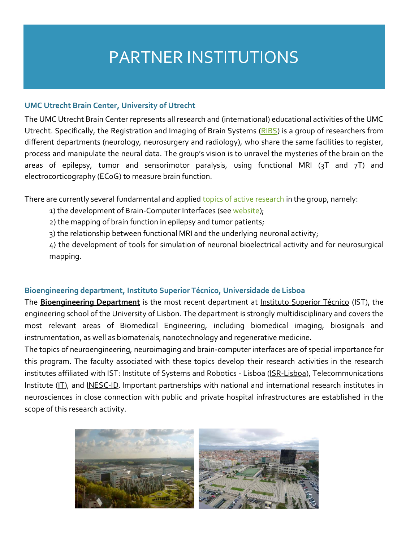### PARTNER INSTITUTIONS

### **UMC Utrecht Brain Center, University of Utrecht**

The UMC Utrecht Brain Center represents all research and (international) educational activities of the UMC Utrecht. Specifically, the Registration and Imaging of Brain Systems [\(RIBS\)](https://www.nick-ramsey.eu/ribs/) is a group of researchers from different departments (neurology, neurosurgery and radiology), who share the same facilities to register, process and manipulate the neural data. The group's vision is to unravel the mysteries of the brain on the areas of epilepsy, tumor and sensorimotor paralysis, using functional MRI (3T and 7T) and electrocorticography (ECoG) to measure brain function.

There are currently several fundamental and applied [topics of active research](https://www.nick-ramsey.eu/projects/) in the group, namely:

1) the development of Brain-Computer Interfaces (se[e website\)](https://www.nick-ramsey.eu/utrecht-neuroprosthesis/);

2) the mapping of brain function in epilepsy and tumor patients;

3) the relationship between functional MRI and the underlying neuronal activity;

4) the development of tools for simulation of neuronal bioelectrical activity and for neurosurgical mapping.

### **Bioengineering department, Instituto Superior Técnico, Universidade de Lisboa**

The **[Bioengineering Department](https://fenix.tecnico.ulisboa.pt/departamentos/dbe/pagina-inicial)** is the most recent department at [Instituto Superior Técnico](https://tecnico.ulisboa.pt/en/) (IST), the engineering school of the University of Lisbon. The department is strongly multidisciplinary and covers the most relevant areas of Biomedical Engineering, including biomedical imaging, biosignals and instrumentation, as well as biomaterials, nanotechnology and regenerative medicine.

The topics of neuroengineering, neuroimaging and brain-computer interfaces are of special importance for this program. The faculty associated with these topics develop their research activities in the research institutes affiliated with IST: Institute of Systems and Robotics - Lisboa [\(ISR-Lisboa\)](https://welcome.isr.tecnico.ulisboa.pt/), Telecommunications Institute [\(IT\)](https://www.it.pt/), and [INESC-ID.](https://inesc-id.pt/) Important partnerships with national and international research institutes in neurosciences in close connection with public and private hospital infrastructures are established in the scope of this research activity.

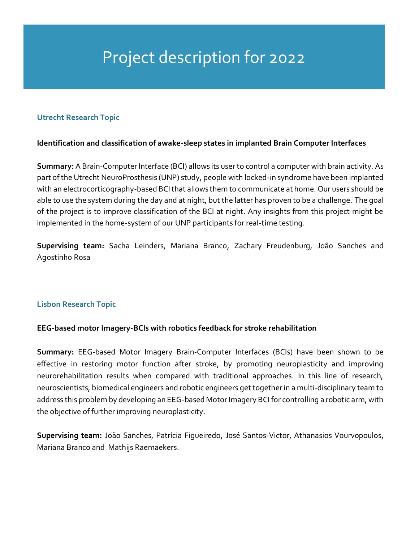## Project description for 2022

### **Utrecht Research Topic**

### **Identification and classification of awake-sleep states in implanted Brain Computer Interfaces**

**Summary:** A Brain-Computer Interface (BCI) allows its user to control a computer with brain activity. As part of the Utrecht NeuroProsthesis (UNP) study, people with locked-in syndrome have been implanted with an electrocorticography-based BCI that allows them to communicate at home. Our users should be able to use the system during the day and at night, but the latter has proven to be a challenge. The goal of the project is to improve classification of the BCI at night. Any insights from this project might be implemented in the home-system of our UNP participants for real-time testing.

Supervising team: Sacha Leinders, Mariana Branco, Zachary Freudenburg, João Sanches and Agostinho Rosa

### **Lisbon Research Topic**

### **EEG-based motor Imagery-BCIs with robotics feedback for stroke rehabilitation**

**Summary:** EEG-based Motor Imagery Brain-Computer Interfaces (BCIs) have been shown to be effective in restoring motor function after stroke, by promoting neuroplasticity and improving neurorehabilitation results when compared with traditional approaches. In this line of research, neuroscientists, biomedical engineers and robotic engineers get together in a multi-disciplinary team to address this problem by developing an EEG-based Motor Imagery BCI for controlling a robotic arm, with the objective of further improving neuroplasticity.

**Supervising team:** João Sanches, Patrícia Figueiredo, José Santos-Victor, Athanasios Vourvopoulos, Mariana Branco and Mathijs Raemaekers.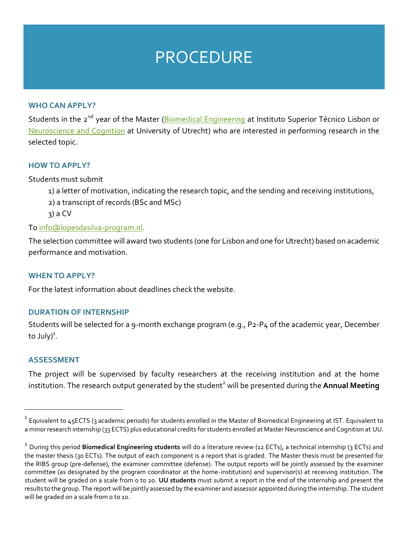### **PROCEDURE**

#### **WHO CAN APPLY?**

Students in the 2<sup>nd</sup> year of the Master [\(Biomedical Engineering](https://fenix.tecnico.ulisboa.pt/cursos/mebiom) at Instituto Superior Técnico Lisbon or [Neuroscience and Cognition](http://www.neuroscience-cognition.org/) at University of Utrecht) who are interested in performing research in the selected topic.

#### **HOW TO APPLY?**

Students must submit

- 1) a letter of motivation, indicating the research topic, and the sending and receiving institutions,
- 2) a transcript of records (BSc and MSc)
- 3) a CV

### To [info@lopesdasilva-program.nl.](mailto:info@lopesdasilva-program.nl)

The selection committee will award two students (one for Lisbon and one for Utrecht) based on academic performance and motivation.

### **WHEN TO APPLY?**

For the latest information about deadlines check the website.

### **DURATION OF INTERNSHIP**

Students will be selected for a 9-month exchange program (e.g., P2-P4 of the academic year, December to July)<sup>1</sup>.

#### **ASSESSMENT**

The project will be supervised by faculty researchers at the receiving institution and at the home institution. The research output generated by the student<sup>2</sup> will be presented during the Annual Meeting

 $^{\rm 1}$  Equivalent to 45ECTS (3 academic periods) for students enrolled in the Master of Biomedical Engineering at IST. Equivalent to a minor research internship (33 ECTS) plus educational credits for students enrolled at Master Neuroscience and Cognition at UU.

<sup>2</sup> During this period **Biomedical Engineering students** will do a literature review (12 ECTs), a technical internship (3 ECTs) and the master thesis (30 ECTs). The output of each component is a report that is graded. The Master thesis must be presented for the RIBS group (pre-defense), the examiner committee (defense). The output reports will be jointly assessed by the examiner committee (as designated by the program coordinator at the home-institution) and supervisor(s) at receiving institution. The student will be graded on a scale from 0 to 20. **UU students** must submit a report in the end of the internship and present the results to the group. The report will be jointly assessed by the examiner and assessor appointed during the internship. The student will be graded on a scale from o to 10.